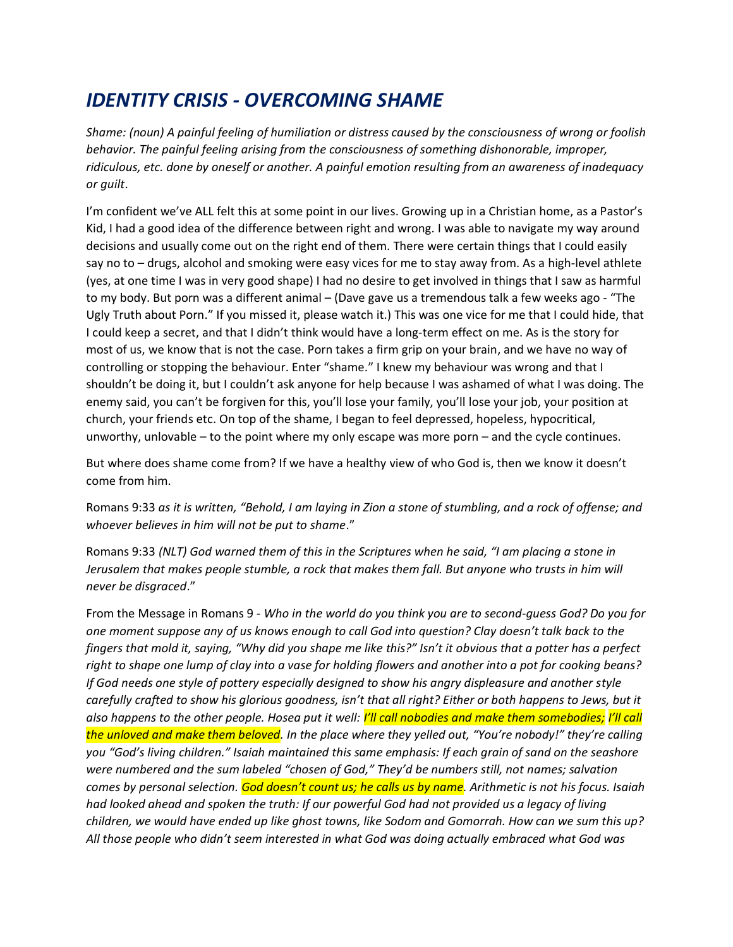# *IDENTITY CRISIS - OVERCOMING SHAME*

*Shame: (noun) A painful feeling of humiliation or distress caused by the consciousness of wrong or foolish behavior. The painful feeling arising from the consciousness of something dishonorable, improper, ridiculous, etc. done by oneself or another. A painful emotion resulting from an awareness of inadequacy or guilt*.

I'm confident we've ALL felt this at some point in our lives. Growing up in a Christian home, as a Pastor's Kid, I had a good idea of the difference between right and wrong. I was able to navigate my way around decisions and usually come out on the right end of them. There were certain things that I could easily say no to – drugs, alcohol and smoking were easy vices for me to stay away from. As a high-level athlete (yes, at one time I was in very good shape) I had no desire to get involved in things that I saw as harmful to my body. But porn was a different animal – (Dave gave us a tremendous talk a few weeks ago - "The Ugly Truth about Porn." If you missed it, please watch it.) This was one vice for me that I could hide, that I could keep a secret, and that I didn't think would have a long-term effect on me. As is the story for most of us, we know that is not the case. Porn takes a firm grip on your brain, and we have no way of controlling or stopping the behaviour. Enter "shame." I knew my behaviour was wrong and that I shouldn't be doing it, but I couldn't ask anyone for help because I was ashamed of what I was doing. The enemy said, you can't be forgiven for this, you'll lose your family, you'll lose your job, your position at church, your friends etc. On top of the shame, I began to feel depressed, hopeless, hypocritical, unworthy, unlovable – to the point where my only escape was more porn – and the cycle continues.

But where does shame come from? If we have a healthy view of who God is, then we know it doesn't come from him.

Romans 9:33 *as it is written, "Behold, I am laying in Zion a stone of stumbling, and a rock of offense; and whoever believes in him will not be put to shame*."

Romans 9:33 *(NLT) God warned them of this in the Scriptures when he said, "I am placing a stone in Jerusalem that makes people stumble, a rock that makes them fall. But anyone who trusts in him will never be disgraced*."

From the Message in Romans 9 - *Who in the world do you think you are to second-guess God? Do you for one moment suppose any of us knows enough to call God into question? Clay doesn't talk back to the fingers that mold it, saying, "Why did you shape me like this?" Isn't it obvious that a potter has a perfect right to shape one lump of clay into a vase for holding flowers and another into a pot for cooking beans? If God needs one style of pottery especially designed to show his angry displeasure and another style carefully crafted to show his glorious goodness, isn't that all right? Either or both happens to Jews, but it also happens to the other people. Hosea put it well: I'll call nobodies and make them somebodies; I'll call the unloved and make them beloved. In the place where they yelled out, "You're nobody!" they're calling you "God's living children." Isaiah maintained this same emphasis: If each grain of sand on the seashore*  were numbered and the sum labeled "chosen of God," They'd be numbers still, not names; salvation *comes by personal selection. God doesn't count us; he calls us by name. Arithmetic is not his focus. Isaiah had looked ahead and spoken the truth: If our powerful God had not provided us a legacy of living children, we would have ended up like ghost towns, like Sodom and Gomorrah. How can we sum this up? All those people who didn't seem interested in what God was doing actually embraced what God was*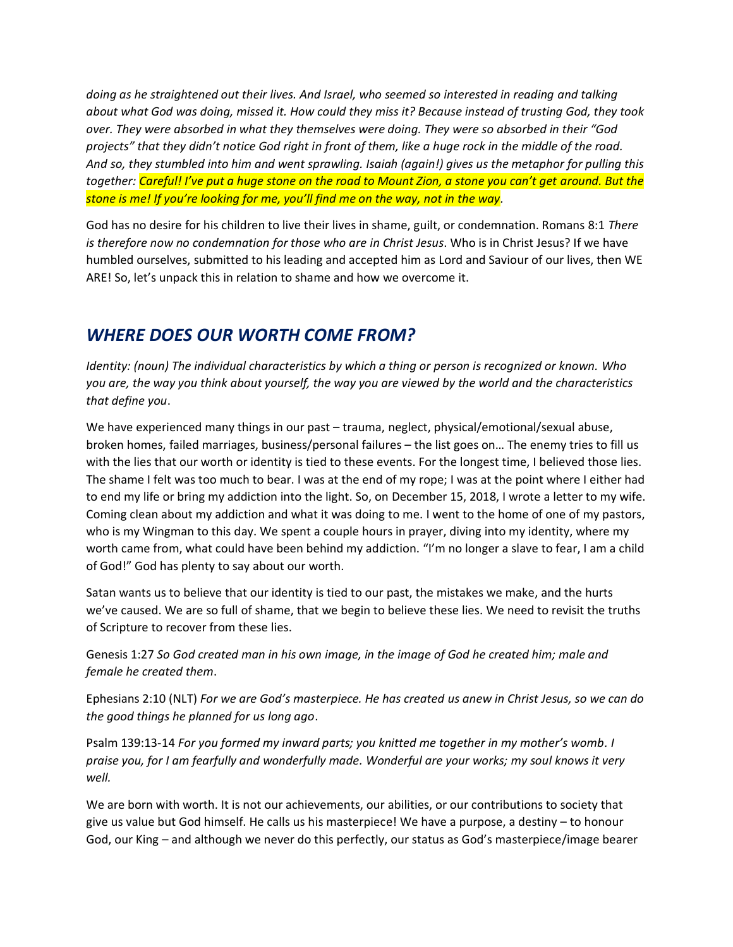*doing as he straightened out their lives. And Israel, who seemed so interested in reading and talking about what God was doing, missed it. How could they miss it? Because instead of trusting God, they took over. They were absorbed in what they themselves were doing. They were so absorbed in their "God projects" that they didn't notice God right in front of them, like a huge rock in the middle of the road. And so, they stumbled into him and went sprawling. Isaiah (again!) gives us the metaphor for pulling this together: Careful! I've put a huge stone on the road to Mount Zion, a stone you can't get around. But the stone is me! If you're looking for me, you'll find me on the way, not in the way.*

God has no desire for his children to live their lives in shame, guilt, or condemnation. Romans 8:1 *There is therefore now no condemnation for those who are in Christ Jesus*. Who is in Christ Jesus? If we have humbled ourselves, submitted to his leading and accepted him as Lord and Saviour of our lives, then WE ARE! So, let's unpack this in relation to shame and how we overcome it.

### *WHERE DOES OUR WORTH COME FROM?*

*Identity: (noun) The individual characteristics by which a thing or person is recognized or known. Who you are, the way you think about yourself, the way you are viewed by the world and the characteristics that define you*.

We have experienced many things in our past – trauma, neglect, physical/emotional/sexual abuse, broken homes, failed marriages, business/personal failures – the list goes on… The enemy tries to fill us with the lies that our worth or identity is tied to these events. For the longest time, I believed those lies. The shame I felt was too much to bear. I was at the end of my rope; I was at the point where I either had to end my life or bring my addiction into the light. So, on December 15, 2018, I wrote a letter to my wife. Coming clean about my addiction and what it was doing to me. I went to the home of one of my pastors, who is my Wingman to this day. We spent a couple hours in prayer, diving into my identity, where my worth came from, what could have been behind my addiction. "I'm no longer a slave to fear, I am a child of God!" God has plenty to say about our worth.

Satan wants us to believe that our identity is tied to our past, the mistakes we make, and the hurts we've caused. We are so full of shame, that we begin to believe these lies. We need to revisit the truths of Scripture to recover from these lies.

Genesis 1:27 *So God created man in his own image, in the image of God he created him; male and female he created them*.

Ephesians 2:10 (NLT) *For we are God's masterpiece. He has created us anew in Christ Jesus, so we can do the good things he planned for us long ago*.

Psalm 139:13-14 *For you formed my inward parts; you knitted me together in my mother's womb. I praise you, for I am fearfully and wonderfully made. Wonderful are your works; my soul knows it very well.*

We are born with worth. It is not our achievements, our abilities, or our contributions to society that give us value but God himself. He calls us his masterpiece! We have a purpose, a destiny – to honour God, our King – and although we never do this perfectly, our status as God's masterpiece/image bearer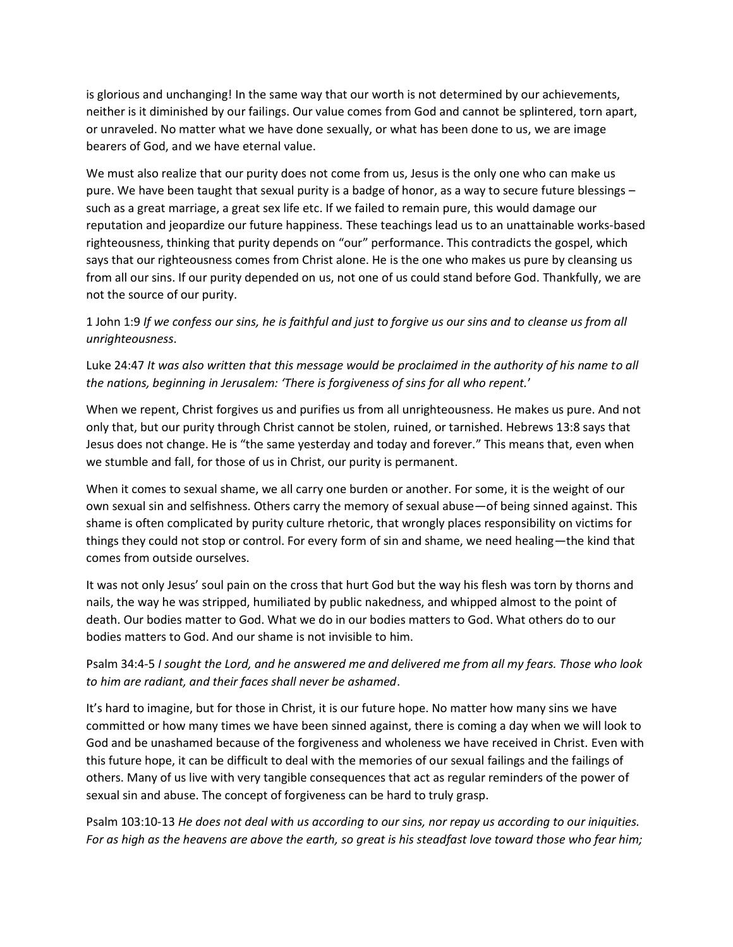is glorious and unchanging! In the same way that our worth is not determined by our achievements, neither is it diminished by our failings. Our value comes from God and cannot be splintered, torn apart, or unraveled. No matter what we have done sexually, or what has been done to us, we are image bearers of God, and we have eternal value.

We must also realize that our purity does not come from us, Jesus is the only one who can make us pure. We have been taught that sexual purity is a badge of honor, as a way to secure future blessings – such as a great marriage, a great sex life etc. If we failed to remain pure, this would damage our reputation and jeopardize our future happiness. These teachings lead us to an unattainable works-based righteousness, thinking that purity depends on "our" performance. This contradicts the gospel, which says that our righteousness comes from Christ alone. He is the one who makes us pure by cleansing us from all our sins. If our purity depended on us, not one of us could stand before God. Thankfully, we are not the source of our purity.

#### 1 John 1:9 *If we confess our sins, he is faithful and just to forgive us our sins and to cleanse us from all unrighteousness*.

Luke 24:47 *It was also written that this message would be proclaimed in the authority of his name to all the nations, beginning in Jerusalem: 'There is forgiveness of sins for all who repent.*'

When we repent, Christ forgives us and purifies us from all unrighteousness. He makes us pure. And not only that, but our purity through Christ cannot be stolen, ruined, or tarnished. Hebrews 13:8 says that Jesus does not change. He is "the same yesterday and today and forever." This means that, even when we stumble and fall, for those of us in Christ, our purity is permanent.

When it comes to sexual shame, we all carry one burden or another. For some, it is the weight of our own sexual sin and selfishness. Others carry the memory of sexual abuse—of being sinned against. This shame is often complicated by purity culture rhetoric, that wrongly places responsibility on victims for things they could not stop or control. For every form of sin and shame, we need healing—the kind that comes from outside ourselves.

It was not only Jesus' soul pain on the cross that hurt God but the way his flesh was torn by thorns and nails, the way he was stripped, humiliated by public nakedness, and whipped almost to the point of death. Our bodies matter to God. What we do in our bodies matters to God. What others do to our bodies matters to God. And our shame is not invisible to him.

#### Psalm 34:4-5 *I sought the Lord, and he answered me and delivered me from all my fears. Those who look to him are radiant, and their faces shall never be ashamed*.

It's hard to imagine, but for those in Christ, it is our future hope. No matter how many sins we have committed or how many times we have been sinned against, there is coming a day when we will look to God and be unashamed because of the forgiveness and wholeness we have received in Christ. Even with this future hope, it can be difficult to deal with the memories of our sexual failings and the failings of others. Many of us live with very tangible consequences that act as regular reminders of the power of sexual sin and abuse. The concept of forgiveness can be hard to truly grasp.

Psalm 103:10-13 *He does not deal with us according to our sins, nor repay us according to our iniquities. For as high as the heavens are above the earth, so great is his steadfast love toward those who fear him;*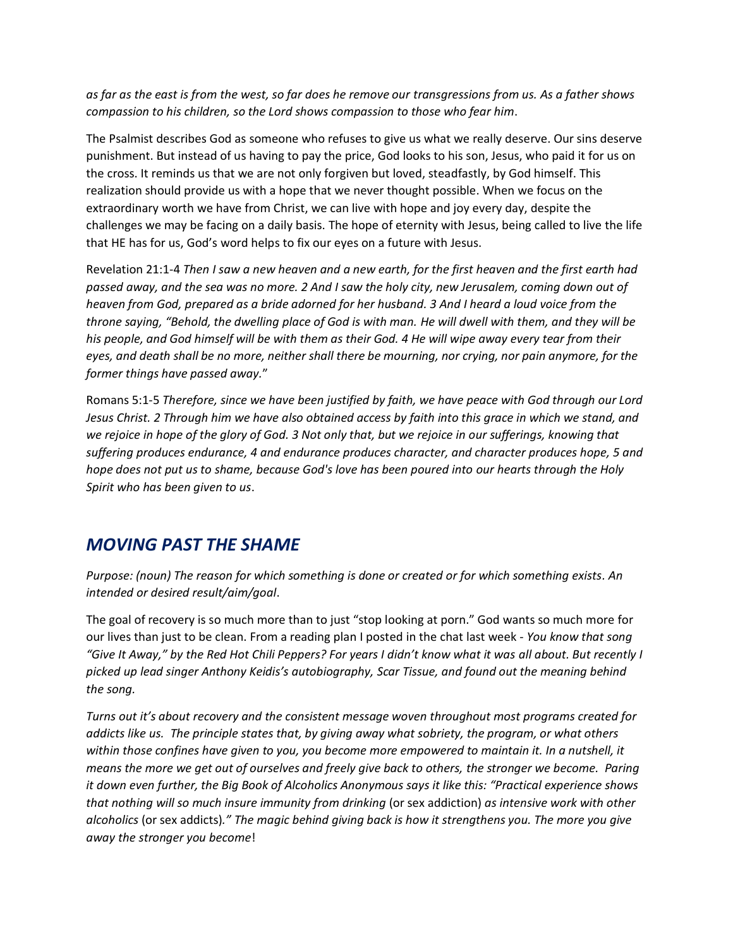*as far as the east is from the west, so far does he remove our transgressions from us. As a father shows compassion to his children, so the Lord shows compassion to those who fear him*.

The Psalmist describes God as someone who refuses to give us what we really deserve. Our sins deserve punishment. But instead of us having to pay the price, God looks to his son, Jesus, who paid it for us on the cross. It reminds us that we are not only forgiven but loved, steadfastly, by God himself. This realization should provide us with a hope that we never thought possible. When we focus on the extraordinary worth we have from Christ, we can live with hope and joy every day, despite the challenges we may be facing on a daily basis. The hope of eternity with Jesus, being called to live the life that HE has for us, God's word helps to fix our eyes on a future with Jesus.

Revelation 21:1-4 *Then I saw a new heaven and a new earth, for the first heaven and the first earth had passed away, and the sea was no more. 2 And I saw the holy city, new Jerusalem, coming down out of heaven from God, prepared as a bride adorned for her husband. 3 And I heard a loud voice from the throne saying, "Behold, the dwelling place of God is with man. He will dwell with them, and they will be his people, and God himself will be with them as their God. 4 He will wipe away every tear from their eyes, and death shall be no more, neither shall there be mourning, nor crying, nor pain anymore, for the former things have passed away.*"

Romans 5:1-5 *Therefore, since we have been justified by faith, we have peace with God through our Lord Jesus Christ. 2 Through him we have also obtained access by faith into this grace in which we stand, and we rejoice in hope of the glory of God. 3 Not only that, but we rejoice in our sufferings, knowing that suffering produces endurance, 4 and endurance produces character, and character produces hope, 5 and hope does not put us to shame, because God's love has been poured into our hearts through the Holy Spirit who has been given to us*.

## *MOVING PAST THE SHAME*

*Purpose: (noun) The reason for which something is done or created or for which something exists. An intended or desired result/aim/goal*.

The goal of recovery is so much more than to just "stop looking at porn." God wants so much more for our lives than just to be clean. From a reading plan I posted in the chat last week - *You know that song "Give It Away," by the Red Hot Chili Peppers? For years I didn't know what it was all about. But recently I picked up lead singer Anthony Keidis's autobiography, Scar Tissue, and found out the meaning behind the song.* 

*Turns out it's about recovery and the consistent message woven throughout most programs created for addicts like us. The principle states that, by giving away what sobriety, the program, or what others within those confines have given to you, you become more empowered to maintain it. In a nutshell, it means the more we get out of ourselves and freely give back to others, the stronger we become. Paring it down even further, the Big Book of Alcoholics Anonymous says it like this: "Practical experience shows that nothing will so much insure immunity from drinking* (or sex addiction) *as intensive work with other alcoholics* (or sex addicts)*." The magic behind giving back is how it strengthens you. The more you give away the stronger you become*!